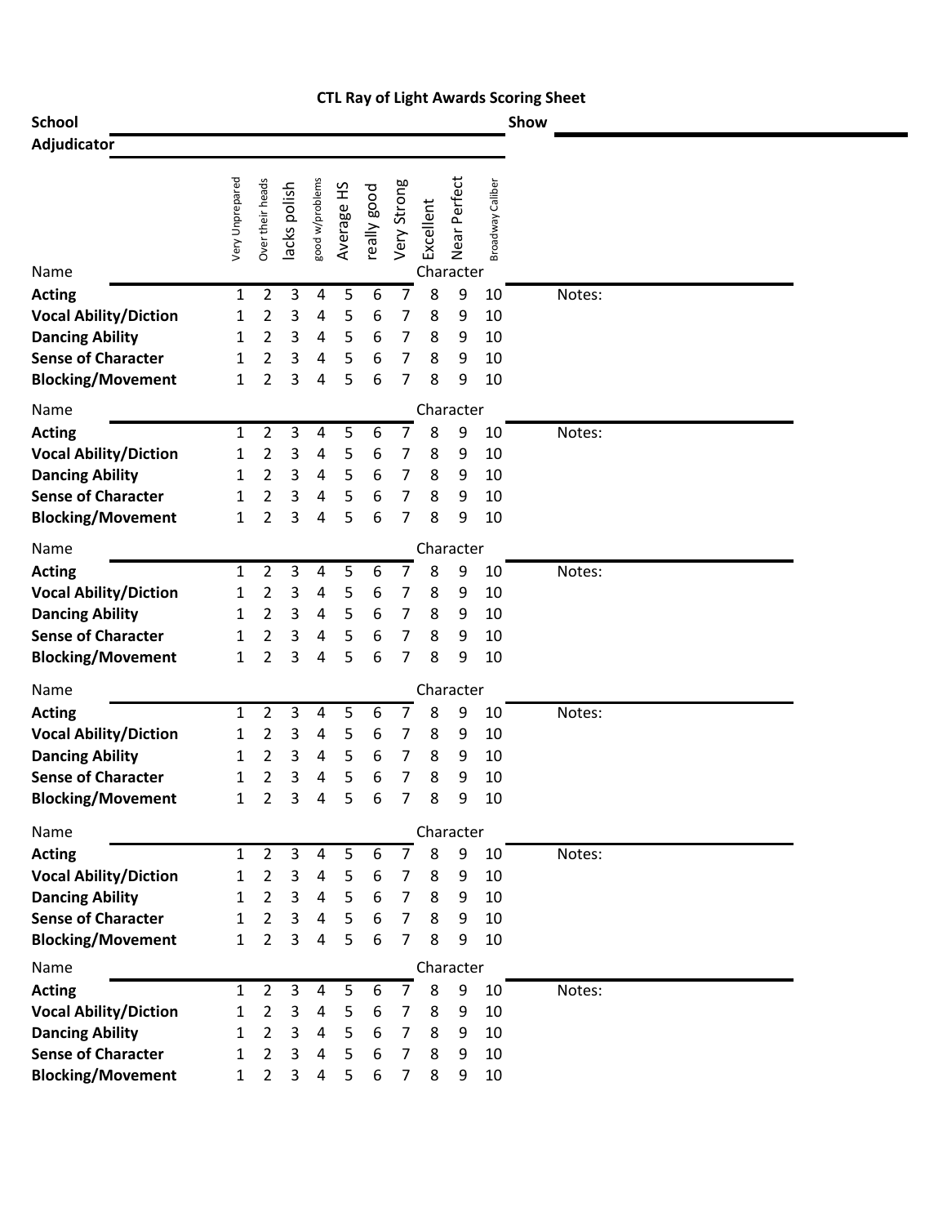|                                               |                 |                                  |              |                     |            |             |                     |           |              |                  | <b>CTL Ray of Light Awards Scoring Sheet</b> |  |
|-----------------------------------------------|-----------------|----------------------------------|--------------|---------------------|------------|-------------|---------------------|-----------|--------------|------------------|----------------------------------------------|--|
| <b>School</b>                                 |                 |                                  |              |                     |            |             |                     |           |              |                  | Show                                         |  |
| Adjudicator                                   |                 |                                  |              |                     |            |             |                     |           |              |                  |                                              |  |
|                                               |                 |                                  |              |                     |            |             |                     |           |              |                  |                                              |  |
|                                               | Very Unprepared | Over their heads                 |              | good w/problems     |            |             |                     |           | Near Perfect |                  |                                              |  |
|                                               |                 |                                  | lacks polish |                     | Average HS | really good | Very Strong         | Excellent |              | Broadway Caliber |                                              |  |
|                                               |                 |                                  |              |                     |            |             |                     |           |              |                  |                                              |  |
|                                               |                 |                                  |              |                     |            |             |                     |           |              |                  |                                              |  |
| Name                                          |                 |                                  |              |                     |            |             |                     |           | Character    |                  |                                              |  |
| <b>Acting</b>                                 | 1               | 2                                | 3            | 4                   | 5          | 6           | 7                   | 8         | 9            | 10               | Notes:                                       |  |
| <b>Vocal Ability/Diction</b>                  | 1               | 2                                | 3            | 4                   | 5          | 6           | 7                   | 8         | 9            | 10               |                                              |  |
| <b>Dancing Ability</b>                        | 1               | 2                                | 3            | 4                   | 5          | 6           | 7                   | 8         | 9            | 10               |                                              |  |
| <b>Sense of Character</b>                     | 1               | 2                                | 3            | 4                   | 5          | 6           | 7                   | 8         | 9            | 10               |                                              |  |
| <b>Blocking/Movement</b>                      | 1               | 2                                | 3            | 4                   | 5          | 6           | 7                   | 8         | 9            | 10               |                                              |  |
| Name                                          |                 |                                  |              |                     |            |             |                     |           | Character    |                  |                                              |  |
| <b>Acting</b>                                 | 1               | 2                                | 3            | 4                   | 5          | 6           | 7                   | 8         | 9            | 10               | Notes:                                       |  |
| <b>Vocal Ability/Diction</b>                  | 1               | 2                                | 3            | 4                   | 5          | 6           | 7                   | 8         | 9            | 10               |                                              |  |
| <b>Dancing Ability</b>                        | 1               | 2                                | 3            | 4                   | 5          | 6           | 7                   | 8         | 9            | 10               |                                              |  |
| <b>Sense of Character</b>                     | 1               | 2                                | 3            | 4                   | 5          | 6           | 7                   | 8         | 9            | 10               |                                              |  |
| <b>Blocking/Movement</b>                      | 1               | 2                                | 3            | 4                   | 5          | 6           | 7                   | 8         | 9            | 10               |                                              |  |
| Name                                          |                 |                                  |              |                     |            |             |                     |           | Character    |                  |                                              |  |
| <b>Acting</b>                                 | 1               | 2                                | 3            | 4                   | 5          | 6           | 7                   | 8         | 9            | 10               | Notes:                                       |  |
| <b>Vocal Ability/Diction</b>                  | 1               | 2                                | 3            | 4                   | 5          | 6           | 7                   | 8         | 9            | 10               |                                              |  |
| <b>Dancing Ability</b>                        | 1               | 2                                | 3            | 4                   | 5          | 6           | 7                   | 8         | 9            | 10               |                                              |  |
| <b>Sense of Character</b>                     | 1               | 2                                | 3            | 4                   | 5          | 6           | 7                   | 8         | 9            | 10               |                                              |  |
| <b>Blocking/Movement</b>                      | 1               | $\overline{2}$                   | 3            | 4                   | 5          | 6           | 7                   | 8         | 9            | 10               |                                              |  |
| Name                                          |                 |                                  |              |                     |            |             |                     |           | Character    |                  |                                              |  |
| <b>Acting</b>                                 | 1               | 2                                | 3            | 4                   | 5          | 6           | 7                   | 8         | 9            | 10               | Notes:                                       |  |
| <b>Vocal Ability/Diction</b>                  | 1               | 2                                | 3            | 4                   | 5          | 6           | 7                   | 8         | 9            | 10               |                                              |  |
| <b>Dancing Ability</b>                        | 1               | 2                                | 3            | 4                   | 5          | 6           | 7                   | 8         | 9            | 10               |                                              |  |
| <b>Sense of Character</b>                     | 1               | 2                                | 3            | 4                   | 5          | 6           | 7                   | 8         | 9            | 10               |                                              |  |
| <b>Blocking/Movement</b>                      | 1               | $\overline{2}$                   | 3            | 4                   | 5          | 6           | 7                   | 8         | 9            | 10               |                                              |  |
|                                               |                 |                                  |              |                     |            |             |                     |           |              |                  |                                              |  |
| Name                                          |                 |                                  | 3            |                     |            |             |                     |           | Character    |                  |                                              |  |
| <b>Acting</b><br><b>Vocal Ability/Diction</b> | 1               | $\overline{2}$<br>$\overline{2}$ | 3            | 4<br>$\overline{a}$ | 5<br>5     | 6           | $\overline{7}$      | 8         | 9            | 10<br>10         | Notes:                                       |  |
| <b>Dancing Ability</b>                        | 1<br>1          | $\overline{2}$                   | 3            | 4                   | 5          | 6<br>6      | 7<br>$\overline{7}$ | 8<br>8    | 9<br>9       | 10               |                                              |  |
| <b>Sense of Character</b>                     | 1               | $\overline{2}$                   | 3            | $\overline{a}$      | 5          | 6           | 7                   | 8         | 9            | 10               |                                              |  |
| <b>Blocking/Movement</b>                      | $\mathbf{1}$    | 2                                | 3            | 4                   | 5          | 6           | 7                   | 8         | 9            | 10               |                                              |  |
|                                               |                 |                                  |              |                     |            |             |                     |           |              |                  |                                              |  |
| Name                                          |                 |                                  |              |                     |            |             |                     |           | Character    |                  |                                              |  |
| <b>Acting</b>                                 | 1               | $\overline{2}$                   | 3            | $\overline{a}$      | 5          | 6           | 7                   | 8         | 9            | 10               | Notes:                                       |  |
| <b>Vocal Ability/Diction</b>                  | 1               | $\overline{2}$                   | 3            | 4                   | 5          | 6           | $\overline{7}$      | 8         | 9            | 10               |                                              |  |
| <b>Dancing Ability</b>                        | 1               | $\overline{2}$                   | 3            | 4                   | 5          | 6           | $\overline{7}$      | 8         | 9            | 10               |                                              |  |
| <b>Sense of Character</b>                     | 1               | $\overline{2}$                   | 3            | 4                   | 5          | 6           | $\overline{7}$      | 8         | 9            | 10               |                                              |  |
| <b>Blocking/Movement</b>                      | 1               | $\overline{2}$                   | 3            | 4                   | 5          | 6           | $\overline{7}$      | 8         | 9            | 10               |                                              |  |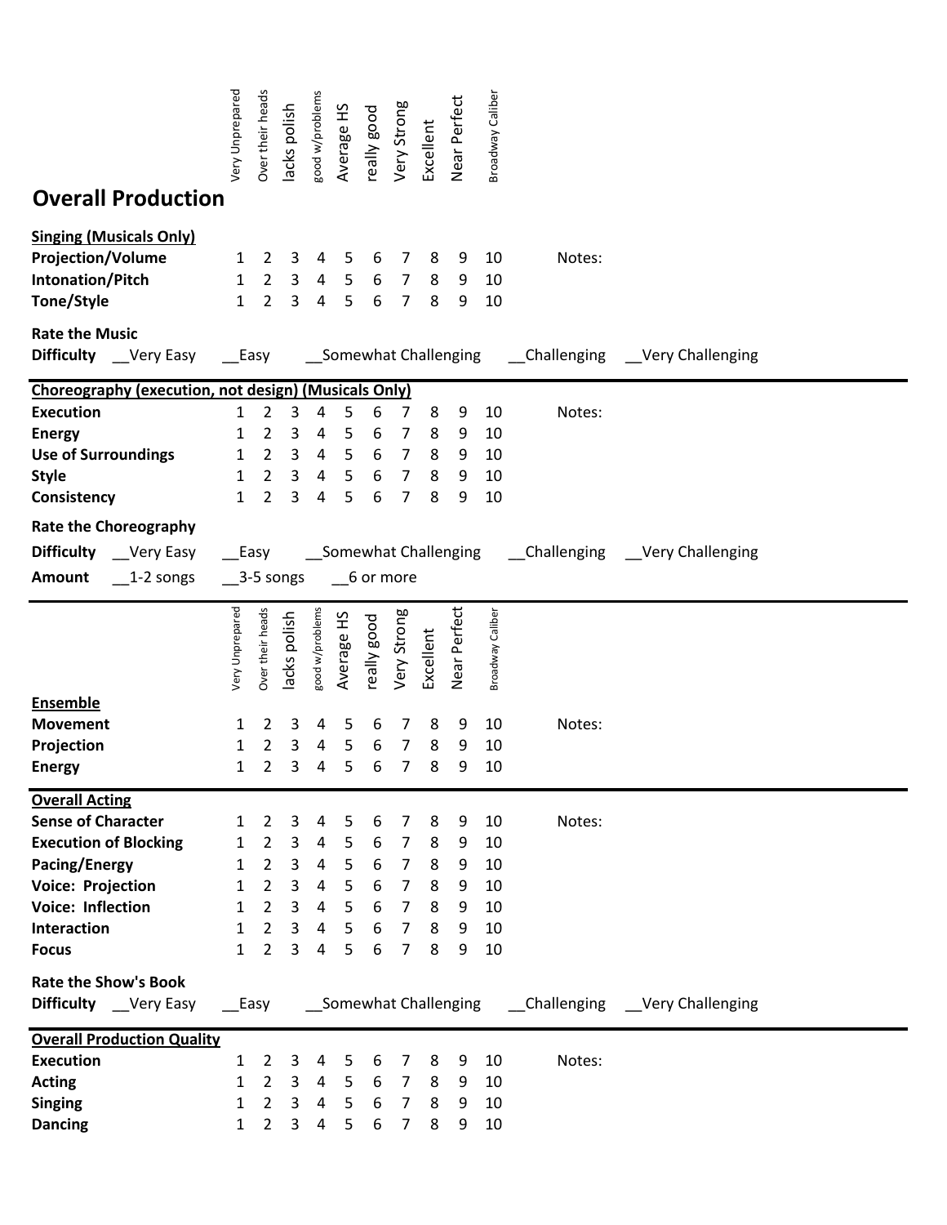|                                                                                                              | Very Unprepared                                                         | Over their heads                                                     | lacks polish                       | good w/problems                    | Average HS            | really good           | Very Strong                                                          | Excellent             | Near Perfect          | Broadway Caliber           |        |                                   |  |
|--------------------------------------------------------------------------------------------------------------|-------------------------------------------------------------------------|----------------------------------------------------------------------|------------------------------------|------------------------------------|-----------------------|-----------------------|----------------------------------------------------------------------|-----------------------|-----------------------|----------------------------|--------|-----------------------------------|--|
| <b>Overall Production</b>                                                                                    |                                                                         |                                                                      |                                    |                                    |                       |                       |                                                                      |                       |                       |                            |        |                                   |  |
| <b>Singing (Musicals Only)</b><br><b>Projection/Volume</b><br>Intonation/Pitch<br>Tone/Style                 | $\mathbf{1}$<br>$\mathbf{1}$<br>$\mathbf{1}$                            | $\overline{2}$<br>$\overline{2}$<br>$\overline{2}$                   | 3<br>3<br>3                        | 4<br>4<br>4                        | 5<br>5<br>5           | 6<br>6<br>6           | 7<br>$\overline{7}$<br>$\overline{7}$                                | 8<br>8<br>8           | 9<br>9<br>9           | 10<br>10<br>10             | Notes: |                                   |  |
| <b>Rate the Music</b><br><b>Difficulty</b> __Very Easy ___Easy                                               |                                                                         |                                                                      |                                    |                                    |                       |                       | __Somewhat Challenging                                               |                       |                       |                            |        | __Challenging __Very Challenging  |  |
| Choreography (execution, not design) (Musicals Only)                                                         |                                                                         |                                                                      |                                    |                                    |                       |                       |                                                                      |                       |                       |                            |        |                                   |  |
| <b>Execution</b><br><b>Energy</b><br><b>Use of Surroundings</b><br><b>Style</b><br>Consistency               | 1<br>$\mathbf{1}$<br>1<br>$\mathbf{1}$<br>$\mathbf{1}$                  | 2<br>2<br>$\overline{2}$<br>$\overline{2}$<br>$\overline{2}$         | 3<br>3<br>3<br>$\overline{3}$<br>3 | 4<br>$\overline{a}$<br>4<br>4<br>4 | 5<br>5<br>5<br>5<br>5 | 6<br>6<br>6<br>6<br>6 | 7<br>7<br>$\overline{7}$<br>$\overline{7}$<br>7                      | 8<br>8<br>8<br>8<br>8 | 9<br>9<br>9<br>9<br>9 | 10<br>10<br>10<br>10<br>10 | Notes: |                                   |  |
| <b>Rate the Choreography</b>                                                                                 |                                                                         |                                                                      |                                    |                                    |                       |                       |                                                                      |                       |                       |                            |        |                                   |  |
| <b>Difficulty</b> __Very Easy<br>Amount<br>$\_1$ -2 songs                                                    | Somewhat Challenging<br>$\equiv$ Easy<br>$\_$ 3-5 songs<br>$-6$ or more |                                                                      |                                    |                                    |                       |                       |                                                                      |                       |                       |                            |        | __Challenging ___Very Challenging |  |
|                                                                                                              | Very Unprepared                                                         | Over their heads                                                     | lacks polish                       | good w/problems                    | Average HS            | really good           | Very Strong                                                          | Excellent             | Near Perfect          | Broadway Caliber           |        |                                   |  |
| <b>Ensemble</b><br><b>Movement</b><br>Projection<br><b>Energy</b>                                            | 1<br>1<br>1                                                             | 2<br>2<br>2                                                          | 3<br>3<br>3                        | 4<br>4<br>4                        | 5<br>5<br>5           | 6<br>6<br>6           | 7<br>7<br>7                                                          | 8<br>8<br>8           | 9<br>9<br>9           | 10<br>10<br>10             | Notes: |                                   |  |
| <b>Overall Acting</b><br><b>Sense of Character</b>                                                           | $\mathbf{1}$                                                            | $\overline{2}$                                                       | 3                                  | 4                                  | 5                     | 6                     | 7                                                                    | 8                     | 9                     | 10                         | Notes: |                                   |  |
| <b>Execution of Blocking</b><br><b>Pacing/Energy</b><br><b>Voice: Projection</b><br><b>Voice: Inflection</b> | 1<br>1<br>$\mathbf{1}$<br>1                                             | $\overline{2}$<br>$\overline{2}$<br>$\overline{2}$<br>$\overline{2}$ | 3<br>$\overline{3}$<br>3<br>3      | 4<br>4<br>4<br>4                   | 5<br>5<br>5<br>5      | 6<br>6<br>6<br>6      | $\overline{7}$<br>$\overline{7}$<br>$\overline{7}$<br>$\overline{7}$ | 8<br>8<br>8<br>8      | 9<br>9<br>9<br>9      | 10<br>10<br>10<br>10       |        |                                   |  |
| Interaction<br><b>Focus</b>                                                                                  | $\mathbf{1}$<br>$\mathbf{1}$                                            | $\overline{2}$<br>$\overline{2}$                                     | 3<br>3                             | 4<br>4                             | 5<br>5                | 6<br>6                | $\overline{7}$<br>$\overline{7}$                                     | 8<br>8                | 9<br>9                | 10<br>10                   |        |                                   |  |
| <b>Rate the Show's Book</b><br><b>Difficulty</b> Very Easy                                                   | Somewhat Challenging [Challenging   Very Challenging<br>__Easy          |                                                                      |                                    |                                    |                       |                       |                                                                      |                       |                       |                            |        |                                   |  |
| <b>Overall Production Quality</b><br><b>Execution</b>                                                        | $\mathbf{1}$                                                            | $\overline{2}$                                                       | 3                                  | 4                                  | 5                     | 6                     | $\overline{7}$                                                       | 8                     | 9                     | 10                         | Notes: |                                   |  |
| <b>Acting</b>                                                                                                | 1                                                                       | $\overline{2}$<br>$\overline{2}$                                     | 3                                  | $\overline{a}$                     | 5<br>5                | 6<br>6                | 7 <sup>7</sup><br>$\overline{7}$                                     | 8                     | 9<br>9                | 10<br>10                   |        |                                   |  |
| <b>Singing</b><br><b>Dancing</b>                                                                             | 1<br>$\mathbf{1}$                                                       | $2^{\circ}$                                                          | 3<br>$\mathbf{3}$                  | 4<br>$\overline{4}$                | 5                     | 6                     | 7 <sup>7</sup>                                                       | 8<br>8                | 9                     | 10                         |        |                                   |  |